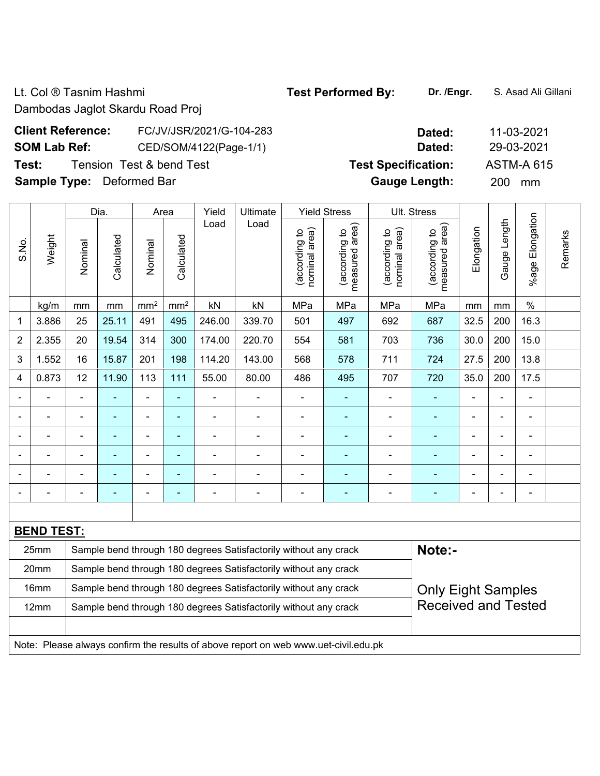Lt. Col ® Tasnim Hashmi **Test Performed By:** Dr. /Engr. **S. Asad Ali Gillani** 

Dambodas Jaglot Skardu Road Proj

| <b>Client Reference:</b>         | FC/JV/JSR/2021/G-104-283 | Dated:                     | 11-03-202 |
|----------------------------------|--------------------------|----------------------------|-----------|
| <b>SOM Lab Ref:</b>              | CED/SOM/4122(Page-1/1)   | Dated:                     | 29-03-202 |
| Test:                            | Tension Test & bend Test | <b>Test Specification:</b> | ASTM-A 6  |
| <b>Sample Type:</b> Deformed Bar |                          | <b>Gauge Length:</b>       | 200 mm    |

**Client Reference:** FC/JV/JSR/2021/G-104-283 **Dated:** 11-03-2021 **SOM Lab Ref:** CED/SOM/4122(Page-1/1) **Dated:** 29-03-2021

**Test Specification:** ASTM-A 615

|                |                   |                | Dia.           |                | Area            | Yield          | Ultimate                                                                            |                                | <b>Yield Stress</b>             |                                | Ult. Stress                     |                |                |                      |         |
|----------------|-------------------|----------------|----------------|----------------|-----------------|----------------|-------------------------------------------------------------------------------------|--------------------------------|---------------------------------|--------------------------------|---------------------------------|----------------|----------------|----------------------|---------|
| S.No.          | Weight            | Nominal        | Calculated     | Nominal        | Calculated      | Load           | Load                                                                                | nominal area)<br>(according to | (according to<br>measured area) | nominal area)<br>(according to | (according to<br>measured area) | Elongation     | Gauge Length   | Elongation<br>%age l | Remarks |
|                | kg/m              | mm             | mm             | $\text{mm}^2$  | mm <sup>2</sup> | kN             | kN                                                                                  | MPa                            | MPa                             | MPa                            | MPa                             | mm             | mm             | $\frac{0}{0}$        |         |
| 1              | 3.886             | 25             | 25.11          | 491            | 495             | 246.00         | 339.70                                                                              | 501                            | 497                             | 692                            | 687                             | 32.5           | 200            | 16.3                 |         |
| $\overline{2}$ | 2.355             | 20             | 19.54          | 314            | 300             | 174.00         | 220.70                                                                              | 554                            | 581                             | 703                            | 736                             | 30.0           | 200            | 15.0                 |         |
| 3              | 1.552             | 16             | 15.87          | 201            | 198             | 114.20         | 143.00                                                                              | 568                            | 578                             | 711                            | 724                             | 27.5           | 200            | 13.8                 |         |
| 4              | 0.873             | 12             | 11.90          | 113            | 111             | 55.00          | 80.00                                                                               | 486                            | 495                             | 707                            | 720                             | 35.0           | 200            | 17.5                 |         |
|                | ä,                | $\blacksquare$ | $\blacksquare$ | ÷,             | ÷,              | $\blacksquare$ | $\blacksquare$                                                                      | $\blacksquare$                 | $\blacksquare$                  | $\blacksquare$                 | ÷,                              | ä,             |                | $\blacksquare$       |         |
|                | $\blacksquare$    | $\blacksquare$ | $\blacksquare$ | $\blacksquare$ | $\blacksquare$  | ÷              | ÷                                                                                   | ÷,                             | $\blacksquare$                  | $\blacksquare$                 | ÷,                              | L.             | $\blacksquare$ | $\blacksquare$       |         |
|                | ÷                 |                | ä,             | ÷,             | ÷,              | ä,             | ä,                                                                                  | ÷,                             | ÷,                              | $\blacksquare$                 | ÷,                              | ä,             |                | L,                   |         |
|                |                   |                |                | ۰              | ۳               |                |                                                                                     |                                |                                 |                                |                                 |                |                | -                    |         |
|                |                   |                |                | $\blacksquare$ | ۳               |                |                                                                                     |                                |                                 | ٠                              | $\blacksquare$                  |                |                | ä,                   |         |
| -              |                   |                |                | ÷              | ÷               |                | ÷                                                                                   | $\blacksquare$                 | $\blacksquare$                  |                                | $\overline{\phantom{0}}$        | $\blacksquare$ | $\blacksquare$ | -                    |         |
|                |                   |                |                |                |                 |                |                                                                                     |                                |                                 |                                |                                 |                |                |                      |         |
|                | <b>BEND TEST:</b> |                |                |                |                 |                |                                                                                     |                                |                                 |                                |                                 |                |                |                      |         |
|                | 25mm              |                |                |                |                 |                | Sample bend through 180 degrees Satisfactorily without any crack                    |                                |                                 |                                | Note:-                          |                |                |                      |         |
|                | 20mm              |                |                |                |                 |                | Sample bend through 180 degrees Satisfactorily without any crack                    |                                |                                 |                                |                                 |                |                |                      |         |
|                | 16mm              |                |                |                |                 |                | Sample bend through 180 degrees Satisfactorily without any crack                    |                                |                                 |                                | <b>Only Eight Samples</b>       |                |                |                      |         |
|                | 12mm              |                |                |                |                 |                | Sample bend through 180 degrees Satisfactorily without any crack                    |                                |                                 |                                | <b>Received and Tested</b>      |                |                |                      |         |
|                |                   |                |                |                |                 |                |                                                                                     |                                |                                 |                                |                                 |                |                |                      |         |
|                |                   |                |                |                |                 |                | Note: Please always confirm the results of above report on web www.uet-civil.edu.pk |                                |                                 |                                |                                 |                |                |                      |         |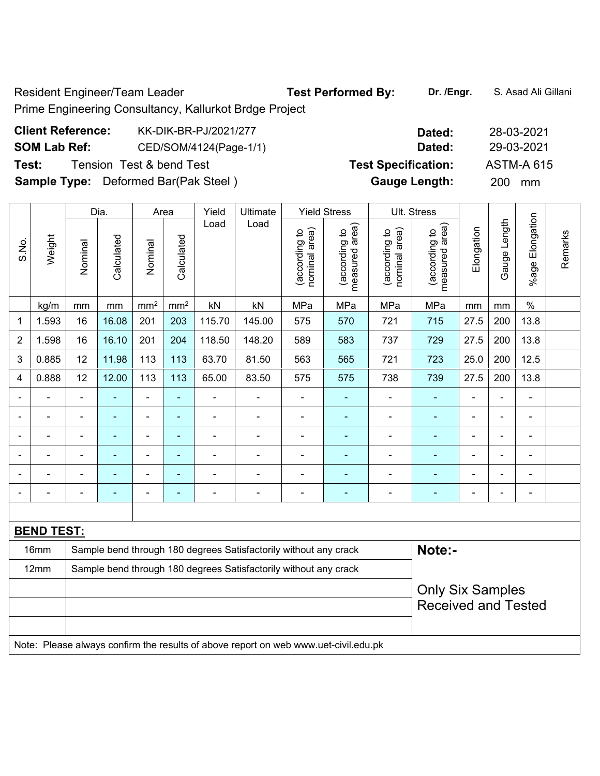Resident Engineer/Team Leader **Test Performed By:** Dr. /Engr. **S. Asad Ali Gillani** Prime Engineering Consultancy, Kallurkot Brdge Project

| <b>Client Reference:</b> | KK-DIK-BR-PJ/2021/277                       | Dated:                     | 28-03-2021        |
|--------------------------|---------------------------------------------|----------------------------|-------------------|
| <b>SOM Lab Ref:</b>      | CED/SOM/4124(Page-1/1)                      | Dated:                     | 29-03-2021        |
| Test:                    | Tension Test & bend Test                    | <b>Test Specification:</b> | <b>ASTM-A 615</b> |
|                          | <b>Sample Type:</b> Deformed Bar(Pak Steel) | <b>Gauge Length:</b>       | 200<br>mm         |

|                |                   |                | Dia.                     |                          | Area                     | Yield                    | <b>Ultimate</b>                                                  |                                | <b>Yield Stress</b>             |                                | Ult. Stress                     |                |                              |                              |         |
|----------------|-------------------|----------------|--------------------------|--------------------------|--------------------------|--------------------------|------------------------------------------------------------------|--------------------------------|---------------------------------|--------------------------------|---------------------------------|----------------|------------------------------|------------------------------|---------|
| S.No.          | Weight            | Nominal        | Calculated               | Nominal                  | Calculated               | Load                     | Load                                                             | nominal area)<br>(according to | measured area)<br>(according to | nominal area)<br>(according to | measured area)<br>(according to | Elongation     | Gauge Length                 | Elongation<br>%age l         | Remarks |
|                | kg/m              | mm             | mm                       | mm <sup>2</sup>          | mm <sup>2</sup>          | kN                       | kN                                                               | MPa                            | MPa                             | MPa                            | MPa                             | mm             | mm                           | $\%$                         |         |
| 1              | 1.593             | 16             | 16.08                    | 201                      | 203                      | 115.70                   | 145.00                                                           | 575                            | 570                             | 721                            | 715                             | 27.5           | 200                          | 13.8                         |         |
| 2              | 1.598             | 16             | 16.10                    | 201                      | 204                      | 118.50                   | 148.20                                                           | 589                            | 583                             | 737                            | 729                             | 27.5           | 200                          | 13.8                         |         |
| 3              | 0.885             | 12             | 11.98                    | 113                      | 113                      | 63.70                    | 81.50                                                            | 563                            | 565                             | 721                            | 723                             | 25.0           | 200                          | 12.5                         |         |
| 4              | 0.888             | 12             | 12.00                    | 113                      | 113                      | 65.00                    | 83.50                                                            | 575                            | 575                             | 738                            | 739                             | 27.5           | 200                          | 13.8                         |         |
|                |                   | $\blacksquare$ | ÷                        | $\blacksquare$           | ÷,                       | ÷,                       |                                                                  | $\blacksquare$                 | ۰                               | ÷,                             | $\blacksquare$                  |                | $\blacksquare$               | $\blacksquare$               |         |
|                |                   |                | $\blacksquare$           | $\blacksquare$           | $\blacksquare$           | $\blacksquare$           | $\blacksquare$                                                   | $\blacksquare$                 | ۰                               | $\blacksquare$                 | $\blacksquare$                  | $\blacksquare$ |                              | $\blacksquare$               |         |
| $\blacksquare$ | ä,                | $\blacksquare$ | ÷                        | $\overline{\phantom{a}}$ | $\blacksquare$           | $\blacksquare$           | $\blacksquare$                                                   | $\blacksquare$                 | ۰                               | $\blacksquare$                 | ä,                              | $\blacksquare$ | $\blacksquare$               | $\blacksquare$               |         |
|                | ÷                 | ۰              | $\blacksquare$           | $\blacksquare$           | $\blacksquare$           | $\blacksquare$           | $\blacksquare$                                                   | $\overline{a}$                 | ۰                               | ۰                              |                                 |                | $\overline{a}$               | $\overline{a}$               |         |
|                |                   |                |                          | $\blacksquare$           | $\blacksquare$           |                          | $\blacksquare$                                                   | $\blacksquare$                 | ۰                               | ÷                              | ÷,                              |                |                              | $\blacksquare$               |         |
| $\blacksquare$ | ۳                 | $\blacksquare$ | $\overline{\phantom{0}}$ | $\overline{a}$           | $\overline{\phantom{0}}$ | $\overline{\phantom{0}}$ | -                                                                | $\qquad \qquad \blacksquare$   | ٠                               | ۰                              | -                               | $\blacksquare$ | $\qquad \qquad \blacksquare$ | $\qquad \qquad \blacksquare$ |         |
|                |                   |                |                          |                          |                          |                          |                                                                  |                                |                                 |                                |                                 |                |                              |                              |         |
|                | <b>BEND TEST:</b> |                |                          |                          |                          |                          |                                                                  |                                |                                 |                                |                                 |                |                              |                              |         |
|                | 16mm              |                |                          |                          |                          |                          | Sample bend through 180 degrees Satisfactorily without any crack |                                |                                 |                                | Note:-                          |                |                              |                              |         |
|                | 12mm              |                |                          |                          |                          |                          | Sample bend through 180 degrees Satisfactorily without any crack |                                |                                 |                                |                                 |                |                              |                              |         |
|                |                   |                |                          |                          |                          |                          |                                                                  |                                |                                 |                                | <b>Only Six Samples</b>         |                |                              |                              |         |
|                |                   |                |                          |                          |                          |                          | <b>Received and Tested</b>                                       |                                |                                 |                                |                                 |                |                              |                              |         |
|                |                   |                |                          |                          |                          |                          |                                                                  |                                |                                 |                                |                                 |                |                              |                              |         |

Note: Please always confirm the results of above report on web www.uet-civil.edu.pk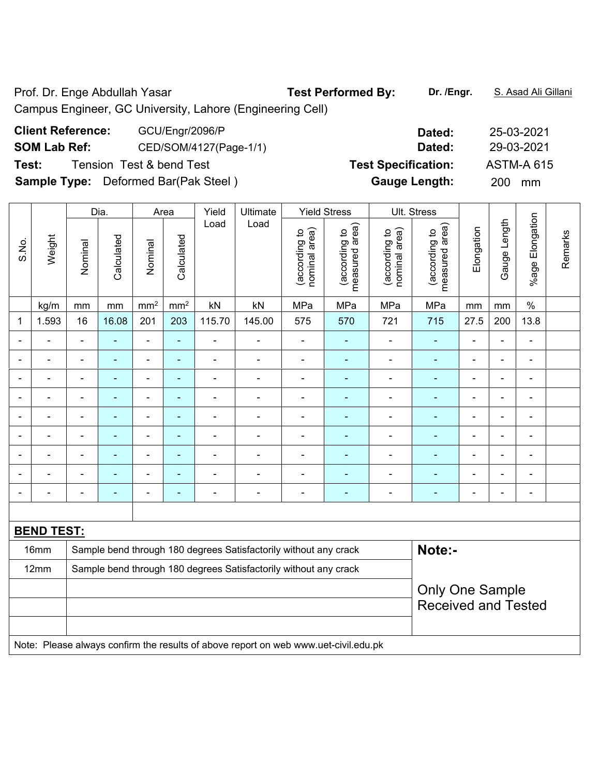Prof. Dr. Enge Abdullah Yasar **Test Performed By:** Dr. /Engr. **S. Asad Ali Gillani** Campus Engineer, GC University, Lahore (Engineering Cell)

| <b>Client Reference:</b> | GCU/Engr/2096/P                             | Dated:                     | 25-03-2021        |
|--------------------------|---------------------------------------------|----------------------------|-------------------|
| <b>SOM Lab Ref:</b>      | CED/SOM/4127(Page-1/1)                      | Dated:                     | 29-03-2021        |
| Test:                    | Tension Test & bend Test                    | <b>Test Specification:</b> | <b>ASTM-A 615</b> |
|                          | <b>Sample Type:</b> Deformed Bar(Pak Steel) | <b>Gauge Length:</b>       | <b>200</b><br>mm  |

|                | Weight            |                                                | Dia.           | Area                     |                                | Yield                           | Ultimate                                                         |                                 | <b>Yield Stress</b>      |                | Ult. Stress     |                |                |                |  |
|----------------|-------------------|------------------------------------------------|----------------|--------------------------|--------------------------------|---------------------------------|------------------------------------------------------------------|---------------------------------|--------------------------|----------------|-----------------|----------------|----------------|----------------|--|
| S.No.          |                   | Calculated<br>Calculated<br>Nominal<br>Nominal | Load           | Load                     | nominal area)<br>(according to | (according to<br>measured area) | nominal area)<br>(according to                                   | (according to<br>measured area) | Elongation               | Gauge Length   | %age Elongation | Remarks        |                |                |  |
|                | kg/m              | mm                                             | mm             | mm <sup>2</sup>          | $\text{mm}^2$                  | kN                              | kN                                                               | MPa                             | MPa                      | MPa            | MPa             | mm             | mm             | $\%$           |  |
| 1              | 1.593             | 16                                             | 16.08          | 201                      | 203                            | 115.70                          | 145.00                                                           | 575                             | 570                      | 721            | 715             | 27.5           | 200            | 13.8           |  |
|                |                   | $\blacksquare$                                 |                | $\overline{a}$           | $\blacksquare$                 | $\blacksquare$                  | $\blacksquare$                                                   | $\overline{a}$                  |                          |                |                 |                | ä,             | $\blacksquare$ |  |
|                |                   | $\blacksquare$                                 | ۰              | $\overline{\phantom{a}}$ | $\blacksquare$                 | $\blacksquare$                  | $\blacksquare$                                                   | $\blacksquare$                  | $\overline{\phantom{0}}$ | $\blacksquare$ | $\blacksquare$  | $\blacksquare$ | $\blacksquare$ | ۰              |  |
|                | $\blacksquare$    | $\blacksquare$                                 | ä,             | $\overline{\phantom{a}}$ | $\blacksquare$                 | $\blacksquare$                  | $\blacksquare$                                                   | $\blacksquare$                  | $\blacksquare$           | $\blacksquare$ | $\blacksquare$  | $\blacksquare$ | $\blacksquare$ | $\blacksquare$ |  |
|                |                   |                                                | $\blacksquare$ | ٠                        | $\blacksquare$                 |                                 |                                                                  | -                               |                          |                |                 |                | $\blacksquare$ | ٠              |  |
|                |                   | $\blacksquare$                                 | ٠              | $\blacksquare$           | $\overline{\phantom{0}}$       | $\blacksquare$                  | Ē,                                                               | $\blacksquare$                  | ۰                        | $\blacksquare$ | $\blacksquare$  | $\blacksquare$ | $\blacksquare$ | ۰              |  |
|                | $\blacksquare$    | $\blacksquare$                                 | $\blacksquare$ | $\overline{\phantom{a}}$ | $\blacksquare$                 | $\blacksquare$                  | $\blacksquare$                                                   |                                 | ٠                        | $\blacksquare$ | $\blacksquare$  | $\blacksquare$ | $\blacksquare$ | $\blacksquare$ |  |
|                |                   |                                                | $\blacksquare$ | ٠                        | $\blacksquare$                 |                                 |                                                                  | $\blacksquare$                  |                          |                |                 |                | $\blacksquare$ | $\blacksquare$ |  |
|                |                   | $\blacksquare$                                 |                | $\overline{\phantom{a}}$ | ٠                              | $\blacksquare$                  |                                                                  | $\blacksquare$                  |                          | $\overline{a}$ |                 | $\blacksquare$ | ۰              | ۰              |  |
| $\blacksquare$ |                   | $\blacksquare$                                 | $\blacksquare$ | $\blacksquare$           | $\blacksquare$                 | $\blacksquare$                  | $\blacksquare$                                                   | $\blacksquare$                  | ÷                        | -              |                 |                | ä,             | $\blacksquare$ |  |
|                |                   |                                                |                |                          |                                |                                 |                                                                  |                                 |                          |                |                 |                |                |                |  |
|                | <b>BEND TEST:</b> |                                                |                |                          |                                |                                 |                                                                  |                                 |                          |                |                 |                |                |                |  |
|                | 16mm              |                                                |                |                          |                                |                                 | Sample bend through 180 degrees Satisfactorily without any crack |                                 |                          |                | Note:-          |                |                |                |  |
|                | 12mm              |                                                |                |                          |                                |                                 | Sample bend through 180 degrees Satisfactorily without any crack |                                 |                          |                |                 |                |                |                |  |
|                |                   |                                                |                |                          |                                |                                 |                                                                  |                                 |                          |                | Only One Sample |                |                |                |  |
|                |                   |                                                |                |                          |                                |                                 | <b>Received and Tested</b>                                       |                                 |                          |                |                 |                |                |                |  |
|                |                   |                                                |                |                          |                                |                                 |                                                                  |                                 |                          |                |                 |                |                |                |  |

Note: Please always confirm the results of above report on web www.uet-civil.edu.pk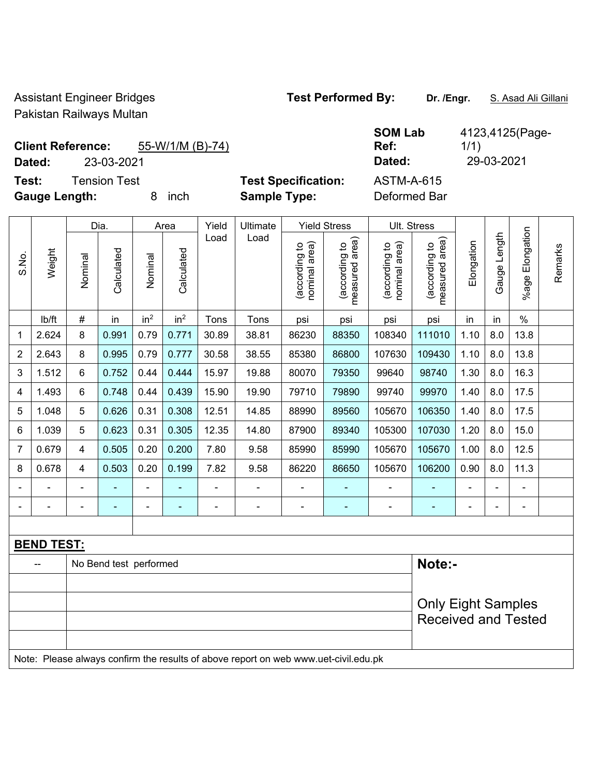Assistant Engineer Bridges **Test Performed By:** Dr. /Engr. **S. Asad Ali Gillani** Pakistan Railways Multan

4123,4125(Page-

## **Client Reference:** 55-W/1/M (B)-74)

**Ref: Dated:** 23-03-2021 **Dated:** 29-03-2021 **Test:** Tension Test **Test Specification:** ASTM-A-615

**Gauge Length:** 8 inch **Sample Type:** Deformed Bar

**SOM Lab** 

|                |                   |                         | Dia.                   |                 | Area            | Yield | Ultimate                                                                            |                                | <b>Yield Stress</b>             |                                | Ult. Stress                        |            |              |                    |         |
|----------------|-------------------|-------------------------|------------------------|-----------------|-----------------|-------|-------------------------------------------------------------------------------------|--------------------------------|---------------------------------|--------------------------------|------------------------------------|------------|--------------|--------------------|---------|
| S.No.          | Weight            | Nominal                 | Calculated             | Nominal         | Calculated      | Load  | Load                                                                                | nominal area)<br>(according to | measured area)<br>(according to | nominal area)<br>(according to | area)<br>(according to<br>measured | Elongation | Gauge Length | Elongation<br>%age | Remarks |
|                | lb/ft             | #                       | in                     | in <sup>2</sup> | in <sup>2</sup> | Tons  | Tons                                                                                | psi                            | psi                             | psi                            | psi                                | in         | in           | $\%$               |         |
| 1              | 2.624             | 8                       | 0.991                  | 0.79            | 0.771           | 30.89 | 38.81                                                                               | 86230                          | 88350                           | 108340                         | 111010                             | 1.10       | 8.0          | 13.8               |         |
| $\overline{2}$ | 2.643             | 8                       | 0.995                  | 0.79            | 0.777           | 30.58 | 38.55                                                                               | 85380                          | 86800                           | 107630                         | 109430                             | 1.10       | 8.0          | 13.8               |         |
| 3              | 1.512             | $6\phantom{1}$          | 0.752                  | 0.44            | 0.444           | 15.97 | 19.88                                                                               | 80070                          | 79350                           | 99640                          | 98740                              | 1.30       | 8.0          | 16.3               |         |
| 4              | 1.493             | 6                       | 0.748                  | 0.44            | 0.439           | 15.90 | 19.90                                                                               | 79710                          | 79890                           | 99740                          | 99970                              | 1.40       | 8.0          | 17.5               |         |
| 5              | 1.048             | 5                       | 0.626                  | 0.31            | 0.308           | 12.51 | 14.85                                                                               | 88990                          | 89560                           | 105670                         | 106350                             | 1.40       | 8.0          | 17.5               |         |
| 6              | 1.039             | 5                       | 0.623                  | 0.31            | 0.305           | 12.35 | 14.80                                                                               | 87900                          | 89340                           | 105300                         | 107030                             | 1.20       | 8.0          | 15.0               |         |
| $\overline{7}$ | 0.679             | $\overline{4}$          | 0.505                  | 0.20            | 0.200           | 7.80  | 9.58                                                                                | 85990                          | 85990                           | 105670                         | 105670                             | 1.00       | 8.0          | 12.5               |         |
| 8              | 0.678             | $\overline{\mathbf{4}}$ | 0.503                  | 0.20            | 0.199           | 7.82  | 9.58                                                                                | 86220                          | 86650                           | 105670                         | 106200                             | 0.90       | 8.0          | 11.3               |         |
|                |                   |                         |                        | -               |                 |       | $\overline{a}$                                                                      | $\overline{a}$                 |                                 |                                |                                    |            |              |                    |         |
|                |                   |                         |                        | -               | ۰               |       | $\blacksquare$                                                                      | $\blacksquare$                 | $\qquad \qquad \blacksquare$    | $\blacksquare$                 | ٠                                  |            |              | $\blacksquare$     |         |
|                |                   |                         |                        |                 |                 |       |                                                                                     |                                |                                 |                                |                                    |            |              |                    |         |
|                | <b>BEND TEST:</b> |                         |                        |                 |                 |       |                                                                                     |                                |                                 |                                |                                    |            |              |                    |         |
|                |                   |                         | No Bend test performed |                 |                 |       |                                                                                     |                                |                                 |                                | Note:-                             |            |              |                    |         |
|                |                   |                         |                        |                 |                 |       |                                                                                     |                                |                                 |                                |                                    |            |              |                    |         |
|                |                   |                         |                        |                 |                 |       |                                                                                     |                                |                                 |                                | <b>Only Eight Samples</b>          |            |              |                    |         |
|                |                   |                         |                        |                 |                 |       | <b>Received and Tested</b>                                                          |                                |                                 |                                |                                    |            |              |                    |         |
|                |                   |                         |                        |                 |                 |       |                                                                                     |                                |                                 |                                |                                    |            |              |                    |         |
|                |                   |                         |                        |                 |                 |       | Note: Please always confirm the results of above report on web www.uet-civil.edu.pk |                                |                                 |                                |                                    |            |              |                    |         |

1/1)